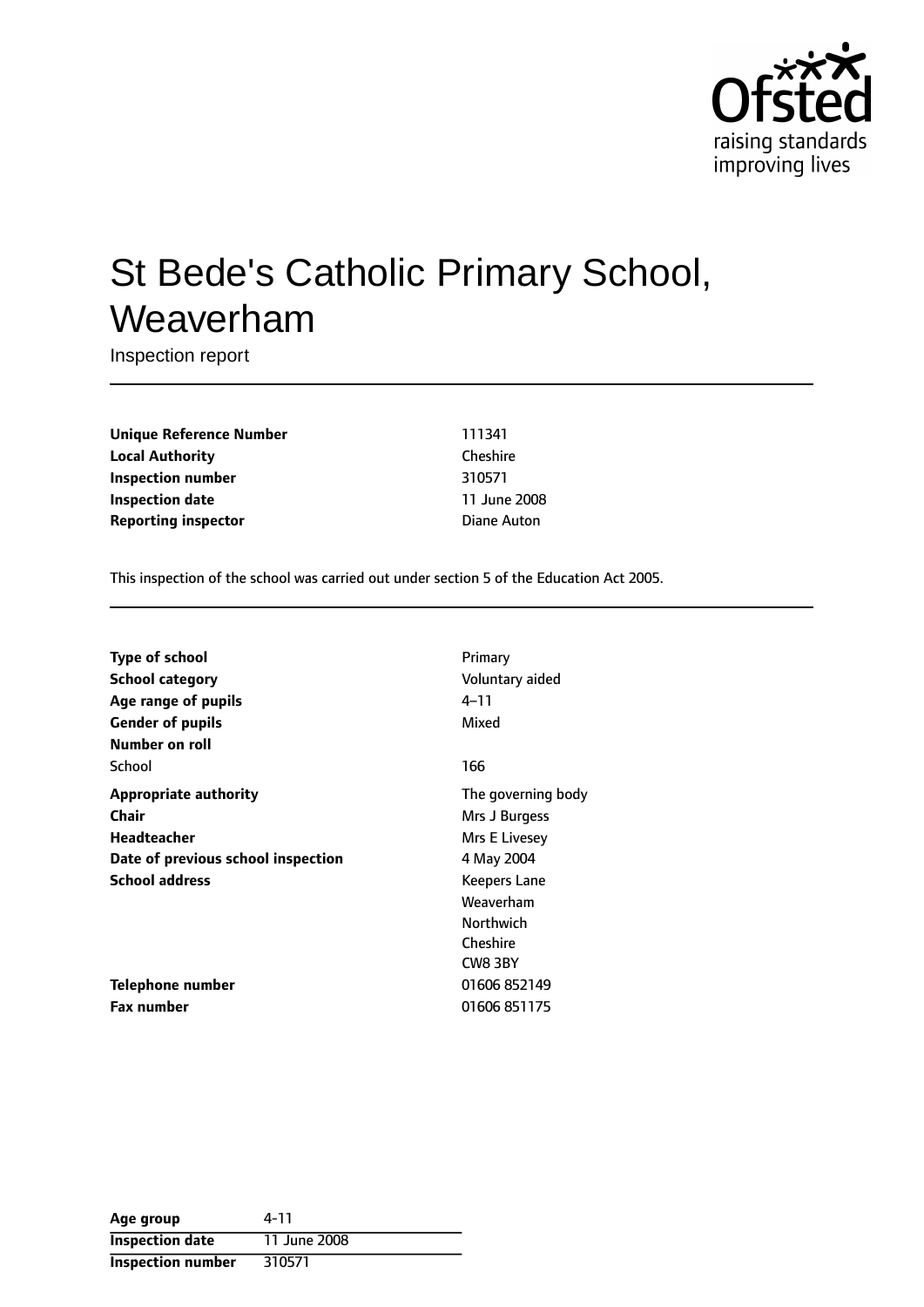

# St Bede's Catholic Primary School, Weaverham

Inspection report

**Unique Reference Number** 111341 **Local Authority** Cheshire **Inspection number** 310571 **Inspection date** 11 June 2008 **Reporting inspector Diane Auton** 

This inspection of the school was carried out under section 5 of the Education Act 2005.

| Type of school                     | Primary             |
|------------------------------------|---------------------|
| <b>School category</b>             | Voluntary aided     |
| Age range of pupils                | 4–11                |
| <b>Gender of pupils</b>            | Mixed               |
| Number on roll                     |                     |
| School                             | 166                 |
| <b>Appropriate authority</b>       | The governing body  |
| Chair                              | Mrs J Burgess       |
| Headteacher                        | Mrs E Livesey       |
| Date of previous school inspection | 4 May 2004          |
| <b>School address</b>              | <b>Keepers Lane</b> |
|                                    | Weaverham           |
|                                    | <b>Northwich</b>    |
|                                    | Cheshire            |
|                                    | CW8 3BY             |
| <b>Telephone number</b>            | 01606 852149        |
| <b>Fax number</b>                  | 01606 851175        |

| Age group                | 4-11         |
|--------------------------|--------------|
| <b>Inspection date</b>   | 11 June 2008 |
| <b>Inspection number</b> | 310571       |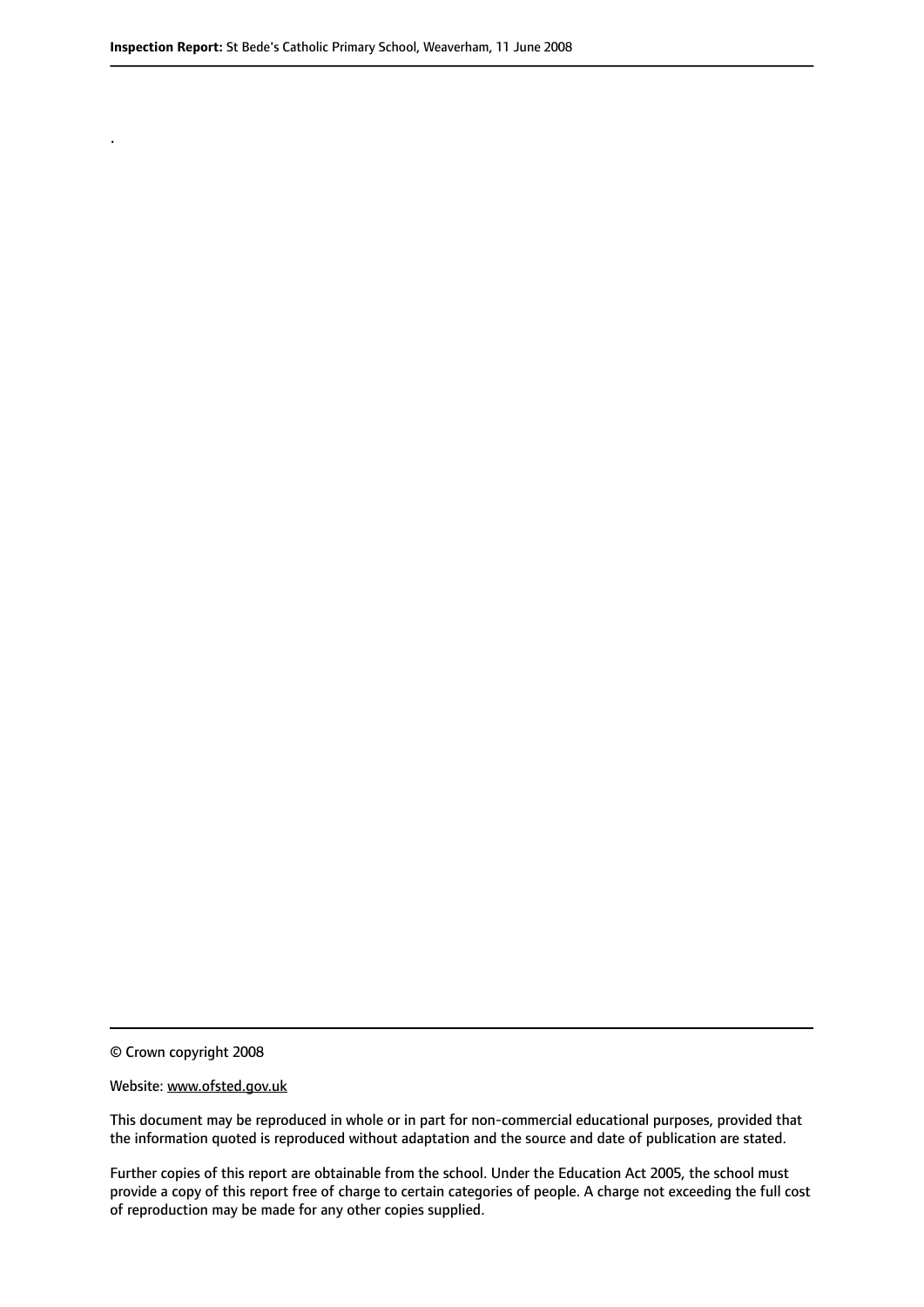.

© Crown copyright 2008

#### Website: www.ofsted.gov.uk

This document may be reproduced in whole or in part for non-commercial educational purposes, provided that the information quoted is reproduced without adaptation and the source and date of publication are stated.

Further copies of this report are obtainable from the school. Under the Education Act 2005, the school must provide a copy of this report free of charge to certain categories of people. A charge not exceeding the full cost of reproduction may be made for any other copies supplied.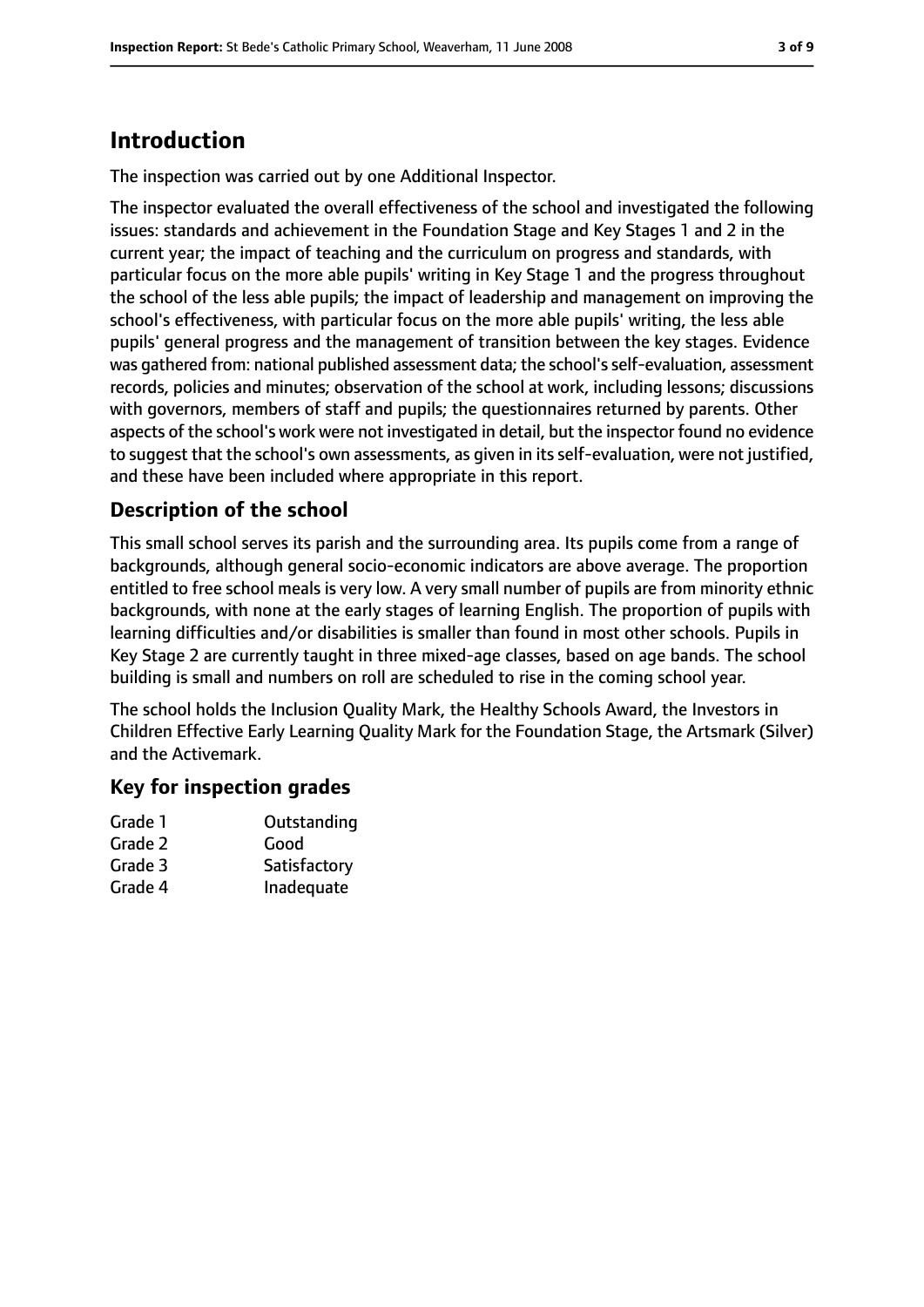## **Introduction**

The inspection was carried out by one Additional Inspector.

The inspector evaluated the overall effectiveness of the school and investigated the following issues: standards and achievement in the Foundation Stage and Key Stages 1 and 2 in the current year; the impact of teaching and the curriculum on progress and standards, with particular focus on the more able pupils' writing in Key Stage 1 and the progress throughout the school of the less able pupils; the impact of leadership and management on improving the school's effectiveness, with particular focus on the more able pupils' writing, the less able pupils' general progress and the management of transition between the key stages. Evidence was gathered from: national published assessment data; the school's self-evaluation, assessment records, policies and minutes; observation of the school at work, including lessons; discussions with governors, members of staff and pupils; the questionnaires returned by parents. Other aspects of the school's work were not investigated in detail, but the inspector found no evidence to suggest that the school's own assessments, as given in its self-evaluation, were not justified, and these have been included where appropriate in this report.

#### **Description of the school**

This small school serves its parish and the surrounding area. Its pupils come from a range of backgrounds, although general socio-economic indicators are above average. The proportion entitled to free school meals is very low. A very small number of pupils are from minority ethnic backgrounds, with none at the early stages of learning English. The proportion of pupils with learning difficulties and/or disabilities is smaller than found in most other schools. Pupils in Key Stage 2 are currently taught in three mixed-age classes, based on age bands. The school building is small and numbers on roll are scheduled to rise in the coming school year.

The school holds the Inclusion Quality Mark, the Healthy Schools Award, the Investors in Children Effective Early Learning Quality Mark for the Foundation Stage, the Artsmark (Silver) and the Activemark.

#### **Key for inspection grades**

| Grade 1 | Outstanding  |
|---------|--------------|
| Grade 2 | Good         |
| Grade 3 | Satisfactory |
| Grade 4 | Inadequate   |
|         |              |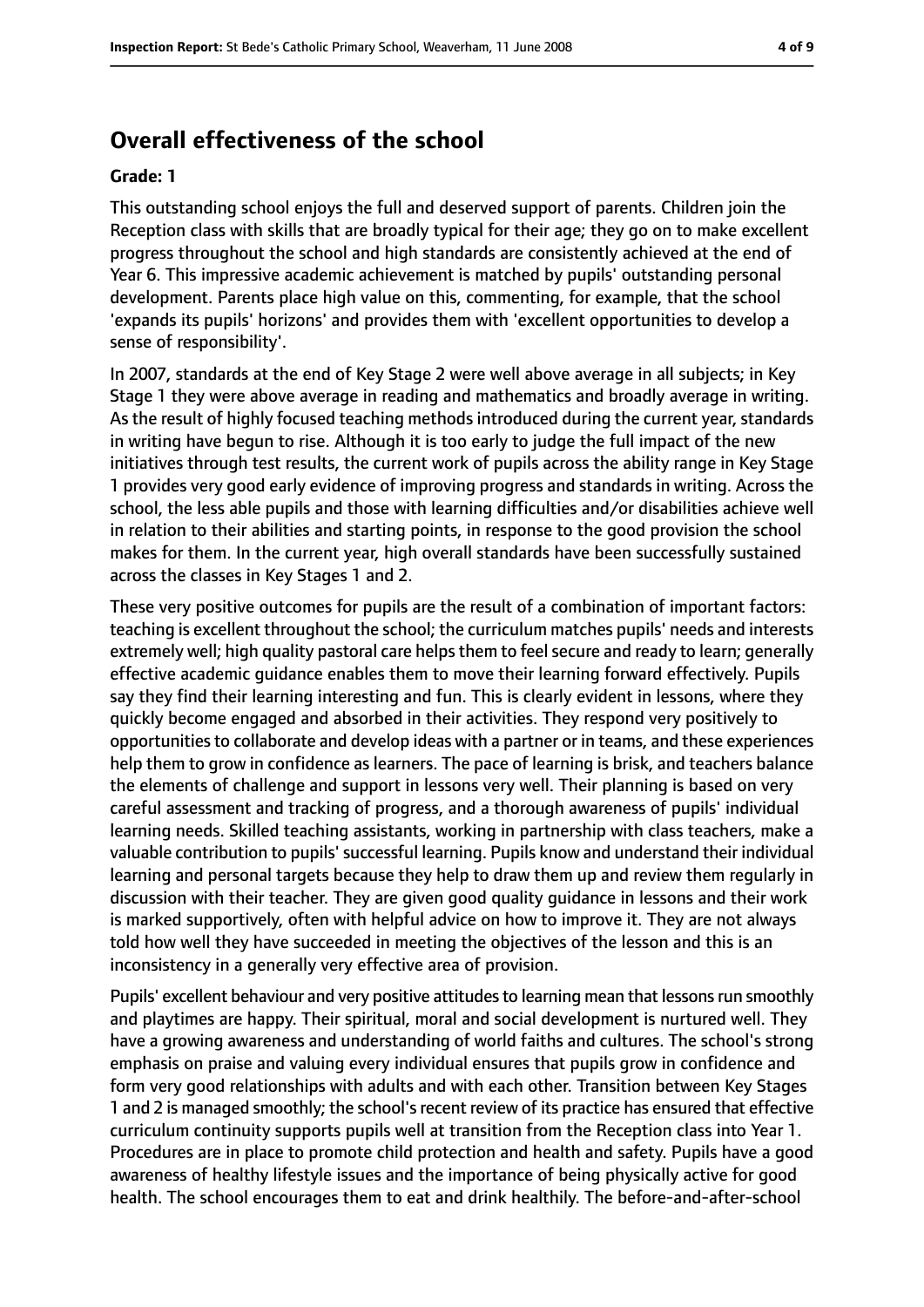#### **Overall effectiveness of the school**

#### **Grade: 1**

This outstanding school enjoys the full and deserved support of parents. Children join the Reception class with skills that are broadly typical for their age; they go on to make excellent progress throughout the school and high standards are consistently achieved at the end of Year 6. This impressive academic achievement is matched by pupils' outstanding personal development. Parents place high value on this, commenting, for example, that the school 'expands its pupils' horizons' and provides them with 'excellent opportunities to develop a sense of responsibility'.

In 2007, standards at the end of Key Stage 2 were well above average in all subjects; in Key Stage 1 they were above average in reading and mathematics and broadly average in writing. As the result of highly focused teaching methods introduced during the current year, standards in writing have begun to rise. Although it is too early to judge the full impact of the new initiatives through test results, the current work of pupils across the ability range in Key Stage 1 provides very good early evidence of improving progress and standards in writing. Across the school, the less able pupils and those with learning difficulties and/or disabilities achieve well in relation to their abilities and starting points, in response to the good provision the school makes for them. In the current year, high overall standards have been successfully sustained across the classes in Key Stages 1 and 2.

These very positive outcomes for pupils are the result of a combination of important factors: teaching is excellent throughout the school; the curriculum matches pupils' needs and interests extremely well; high quality pastoral care helps them to feel secure and ready to learn; generally effective academic guidance enables them to move their learning forward effectively. Pupils say they find their learning interesting and fun. This is clearly evident in lessons, where they quickly become engaged and absorbed in their activities. They respond very positively to opportunities to collaborate and develop ideas with a partner or in teams, and these experiences help them to grow in confidence as learners. The pace of learning is brisk, and teachers balance the elements of challenge and support in lessons very well. Their planning is based on very careful assessment and tracking of progress, and a thorough awareness of pupils' individual learning needs. Skilled teaching assistants, working in partnership with class teachers, make a valuable contribution to pupils'successful learning. Pupils know and understand their individual learning and personal targets because they help to draw them up and review them regularly in discussion with their teacher. They are given good quality guidance in lessons and their work is marked supportively, often with helpful advice on how to improve it. They are not always told how well they have succeeded in meeting the objectives of the lesson and this is an inconsistency in a generally very effective area of provision.

Pupils' excellent behaviour and very positive attitudes to learning mean that lessons run smoothly and playtimes are happy. Their spiritual, moral and social development is nurtured well. They have a growing awareness and understanding of world faiths and cultures. The school's strong emphasis on praise and valuing every individual ensures that pupils grow in confidence and form very good relationships with adults and with each other. Transition between Key Stages 1 and 2 is managed smoothly; the school'srecent review of its practice has ensured that effective curriculum continuity supports pupils well at transition from the Reception class into Year 1. Procedures are in place to promote child protection and health and safety. Pupils have a good awareness of healthy lifestyle issues and the importance of being physically active for good health. The school encourages them to eat and drink healthily. The before-and-after-school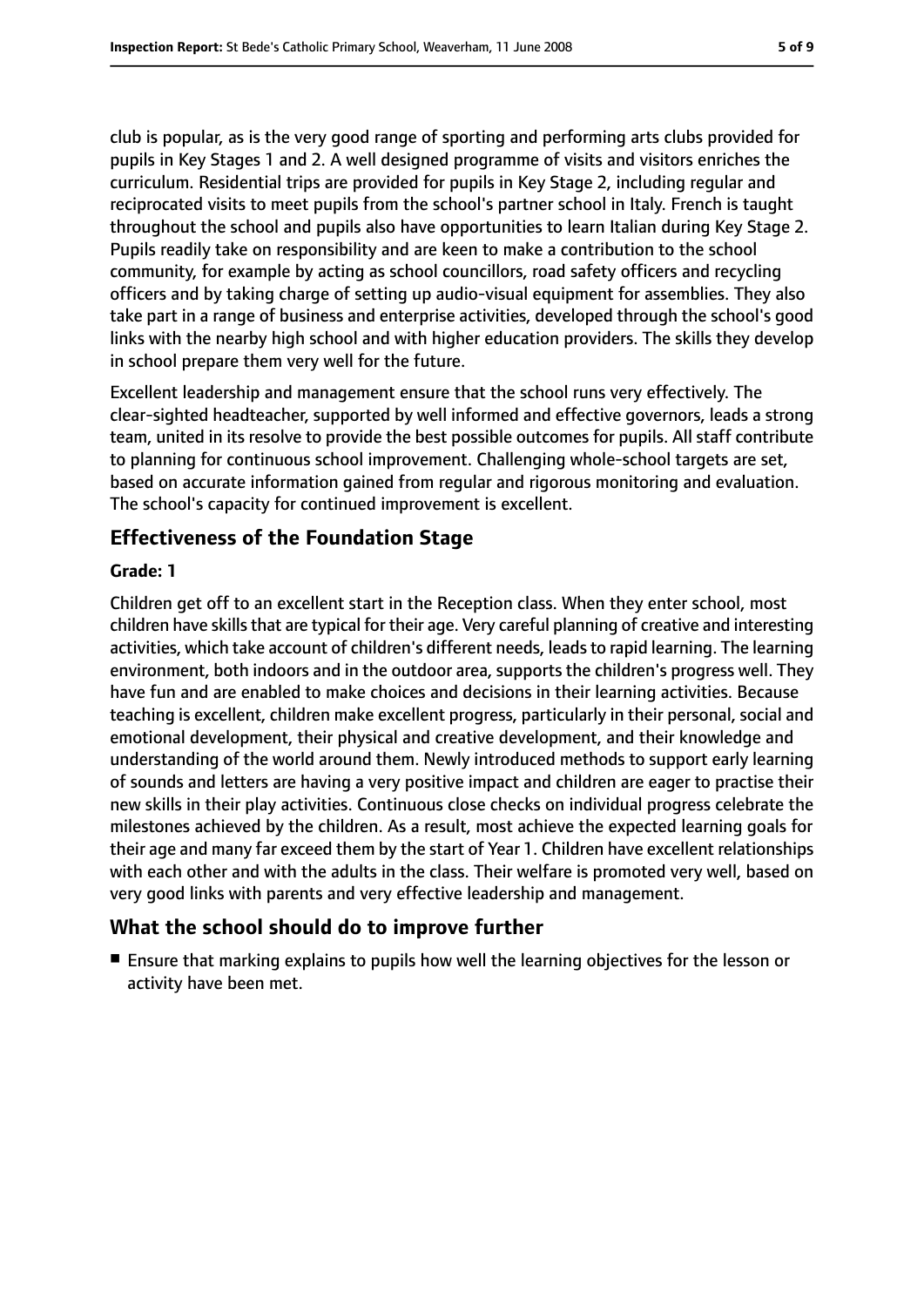club is popular, as is the very good range of sporting and performing arts clubs provided for pupils in Key Stages 1 and 2. A well designed programme of visits and visitors enriches the curriculum. Residential trips are provided for pupils in Key Stage 2, including regular and reciprocated visits to meet pupils from the school's partner school in Italy. French is taught throughout the school and pupils also have opportunities to learn Italian during Key Stage 2. Pupils readily take on responsibility and are keen to make a contribution to the school community, for example by acting as school councillors, road safety officers and recycling officers and by taking charge of setting up audio-visual equipment for assemblies. They also take part in a range of business and enterprise activities, developed through the school's good links with the nearby high school and with higher education providers. The skills they develop in school prepare them very well for the future.

Excellent leadership and management ensure that the school runs very effectively. The clear-sighted headteacher, supported by well informed and effective governors, leads a strong team, united in its resolve to provide the best possible outcomes for pupils. All staff contribute to planning for continuous school improvement. Challenging whole-school targets are set, based on accurate information gained from regular and rigorous monitoring and evaluation. The school's capacity for continued improvement is excellent.

#### **Effectiveness of the Foundation Stage**

#### **Grade: 1**

Children get off to an excellent start in the Reception class. When they enter school, most children have skills that are typical for their age. Very careful planning of creative and interesting activities, which take account of children's different needs, leadsto rapid learning. The learning environment, both indoors and in the outdoor area, supports the children's progress well. They have fun and are enabled to make choices and decisions in their learning activities. Because teaching is excellent, children make excellent progress, particularly in their personal, social and emotional development, their physical and creative development, and their knowledge and understanding of the world around them. Newly introduced methods to support early learning of sounds and letters are having a very positive impact and children are eager to practise their new skills in their play activities. Continuous close checks on individual progress celebrate the milestones achieved by the children. As a result, most achieve the expected learning goals for their age and many far exceed them by the start of Year 1. Children have excellent relationships with each other and with the adults in the class. Their welfare is promoted very well, based on very good links with parents and very effective leadership and management.

#### **What the school should do to improve further**

■ Ensure that marking explains to pupils how well the learning objectives for the lesson or activity have been met.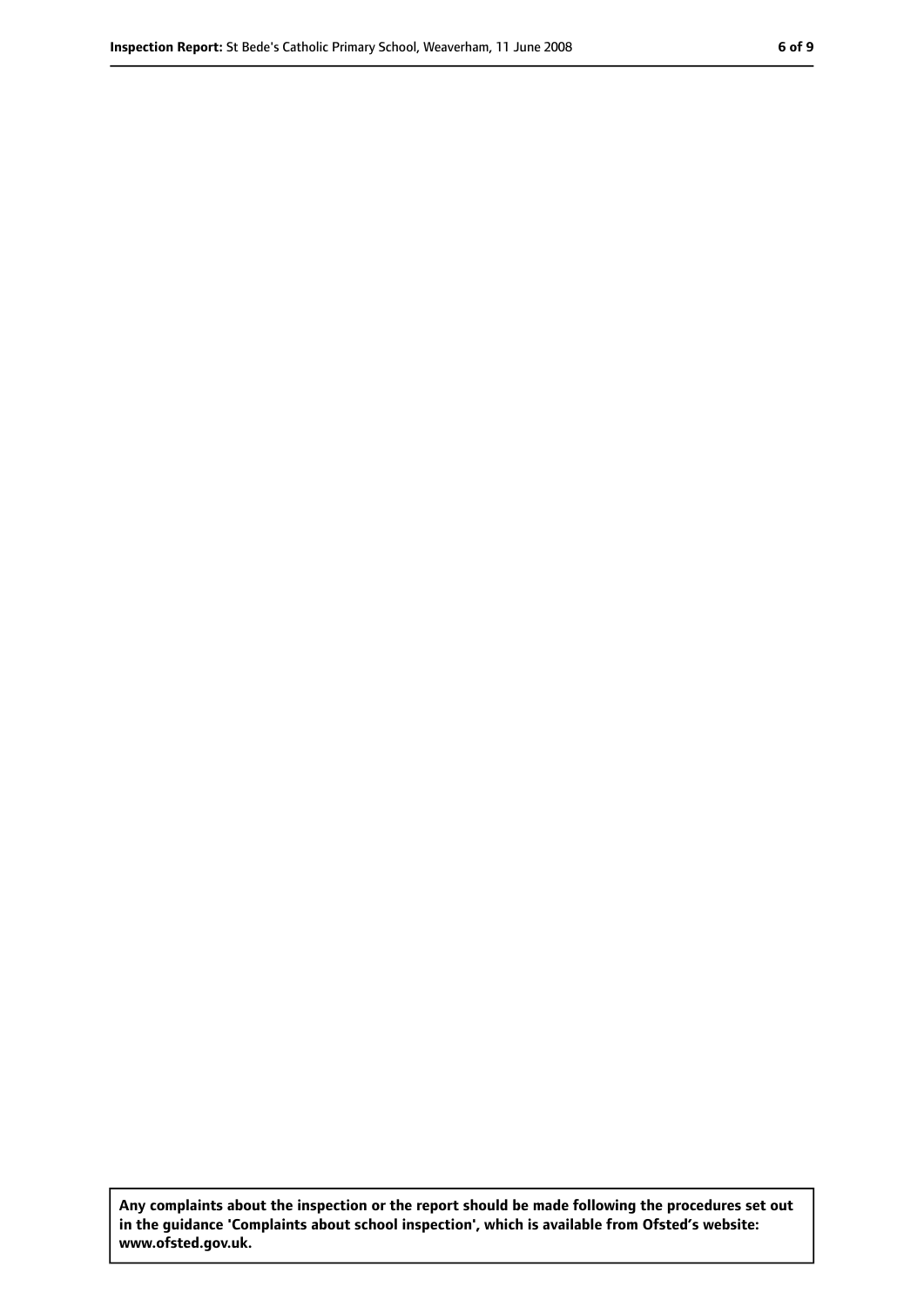**Any complaints about the inspection or the report should be made following the procedures set out in the guidance 'Complaints about school inspection', which is available from Ofsted's website: www.ofsted.gov.uk.**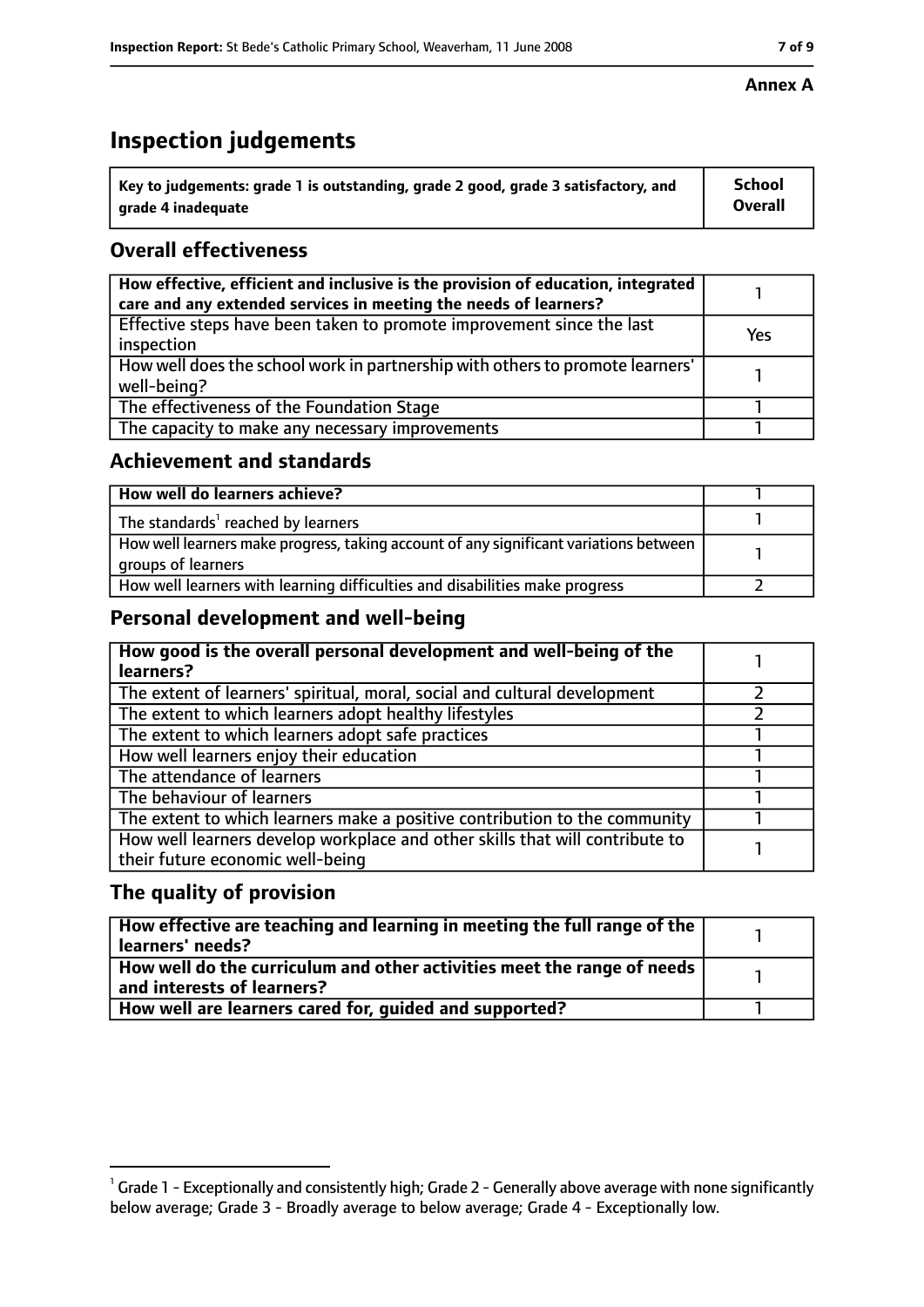## **Inspection judgements**

| $^{\backprime}$ Key to judgements: grade 1 is outstanding, grade 2 good, grade 3 satisfactory, and | <b>School</b>  |
|----------------------------------------------------------------------------------------------------|----------------|
| arade 4 inadequate                                                                                 | <b>Overall</b> |

## **Overall effectiveness**

| How effective, efficient and inclusive is the provision of education, integrated<br>care and any extended services in meeting the needs of learners? |     |
|------------------------------------------------------------------------------------------------------------------------------------------------------|-----|
| Effective steps have been taken to promote improvement since the last<br>inspection                                                                  | Yes |
| How well does the school work in partnership with others to promote learners'<br>well-being?                                                         |     |
| The effectiveness of the Foundation Stage                                                                                                            |     |
| The capacity to make any necessary improvements                                                                                                      |     |

#### **Achievement and standards**

| How well do learners achieve?                                                                               |  |
|-------------------------------------------------------------------------------------------------------------|--|
| The standards <sup>1</sup> reached by learners                                                              |  |
| How well learners make progress, taking account of any significant variations between<br>groups of learners |  |
| How well learners with learning difficulties and disabilities make progress                                 |  |

#### **Personal development and well-being**

| How good is the overall personal development and well-being of the<br>learners?                                  |  |
|------------------------------------------------------------------------------------------------------------------|--|
| The extent of learners' spiritual, moral, social and cultural development                                        |  |
| The extent to which learners adopt healthy lifestyles                                                            |  |
| The extent to which learners adopt safe practices                                                                |  |
| How well learners enjoy their education                                                                          |  |
| The attendance of learners                                                                                       |  |
| The behaviour of learners                                                                                        |  |
| The extent to which learners make a positive contribution to the community                                       |  |
| How well learners develop workplace and other skills that will contribute to<br>their future economic well-being |  |

#### **The quality of provision**

| How effective are teaching and learning in meeting the full range of the<br>learners' needs?          |  |
|-------------------------------------------------------------------------------------------------------|--|
| How well do the curriculum and other activities meet the range of needs<br>and interests of learners? |  |
| How well are learners cared for, quided and supported?                                                |  |

#### **Annex A**

 $^1$  Grade 1 - Exceptionally and consistently high; Grade 2 - Generally above average with none significantly below average; Grade 3 - Broadly average to below average; Grade 4 - Exceptionally low.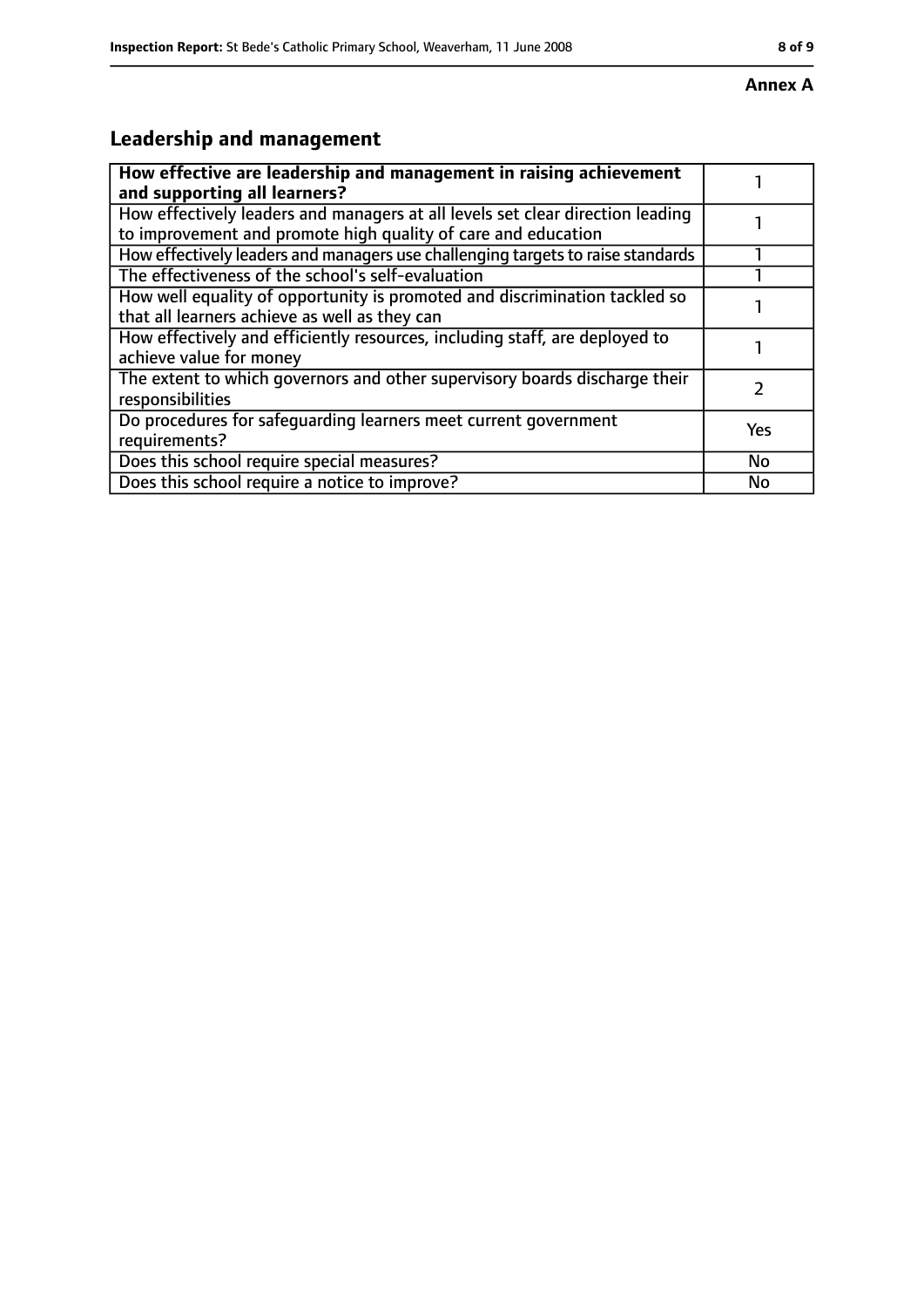# **Leadership and management**

| How effective are leadership and management in raising achievement<br>and supporting all learners?                                              |           |
|-------------------------------------------------------------------------------------------------------------------------------------------------|-----------|
| How effectively leaders and managers at all levels set clear direction leading<br>to improvement and promote high quality of care and education |           |
| How effectively leaders and managers use challenging targets to raise standards                                                                 |           |
| The effectiveness of the school's self-evaluation                                                                                               |           |
| How well equality of opportunity is promoted and discrimination tackled so<br>that all learners achieve as well as they can                     |           |
| How effectively and efficiently resources, including staff, are deployed to<br>achieve value for money                                          |           |
| The extent to which governors and other supervisory boards discharge their<br>responsibilities                                                  |           |
| Do procedures for safequarding learners meet current government<br>requirements?                                                                | Yes       |
| Does this school require special measures?                                                                                                      | <b>No</b> |
| Does this school require a notice to improve?                                                                                                   | No        |